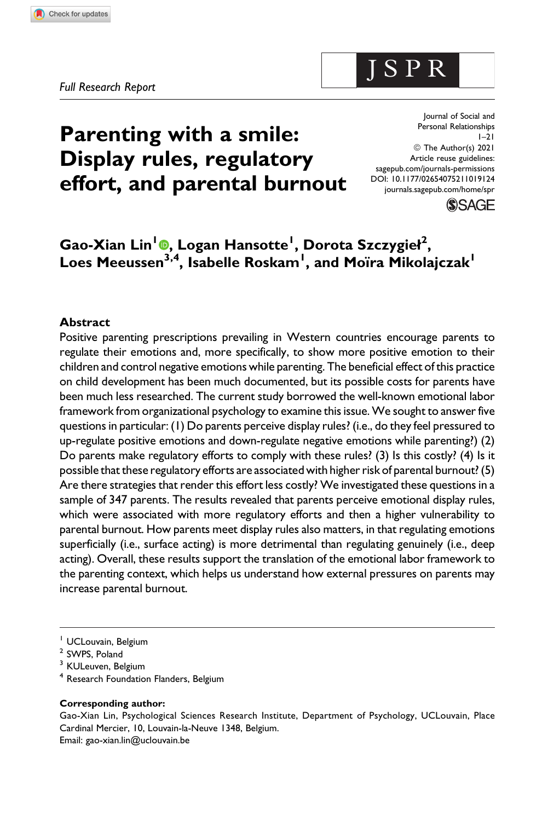# **Parenting with a smile: Display rules, regulatory effort, and parental burnout**

Journal of Social and Personal Relationships  $1 - 21$ © The Author(s) 2021 Article reuse guidelines: [sagepub.com/journals-permissions](https://sagepub.com/journals-permissions) [DOI: 10.1177/02654075211019124](https://doi.org/10.1177/02654075211019124) [journals.sagepub.com/home/spr](http://journals.sagepub.com/home/spr)



## **Gao-Xian Lin1 [,](https://orcid.org/0000-0001-9394-1202) Logan Hansotte<sup>1</sup> , Dorota Szczygieł<sup>2</sup> ,**  $\sf{Loes}\ \sf{Mee}$ ussen $^{\sf 3,4}$ , Isabelle  $\sf{Roskam}^{\sf I}$ , and Moïra  $\sf{Mikolajczak}^{\sf I}$

#### **Abstract**

Positive parenting prescriptions prevailing in Western countries encourage parents to regulate their emotions and, more specifically, to show more positive emotion to their children and control negative emotions while parenting. The beneficial effect of this practice on child development has been much documented, but its possible costs for parents have been much less researched. The current study borrowed the well-known emotional labor framework from organizational psychology to examine this issue. We sought to answer five questions in particular: (1) Do parents perceive display rules? (i.e., do they feel pressured to up-regulate positive emotions and down-regulate negative emotions while parenting?) (2) Do parents make regulatory efforts to comply with these rules? (3) Is this costly? (4) Is it possible that these regulatory efforts are associated with higher risk of parental burnout? (5) Are there strategies that render this effort less costly? We investigated these questions in a sample of 347 parents. The results revealed that parents perceive emotional display rules, which were associated with more regulatory efforts and then a higher vulnerability to parental burnout. How parents meet display rules also matters, in that regulating emotions superficially (i.e., surface acting) is more detrimental than regulating genuinely (i.e., deep acting). Overall, these results support the translation of the emotional labor framework to the parenting context, which helps us understand how external pressures on parents may increase parental burnout.

<sup>1</sup> UCLouvain, Belgium

<sup>4</sup> Research Foundation Flanders, Belgium

#### **Corresponding author:**

Gao-Xian Lin, Psychological Sciences Research Institute, Department of Psychology, UCLouvain, Place Cardinal Mercier, 10, Louvain-la-Neuve 1348, Belgium. Email: [gao-xian.lin@uclouvain.be](mailto:gao-xian.lin@uclouvain.be)

J S P R

<sup>2</sup> SWPS, Poland

<sup>&</sup>lt;sup>3</sup> KULeuven, Belgium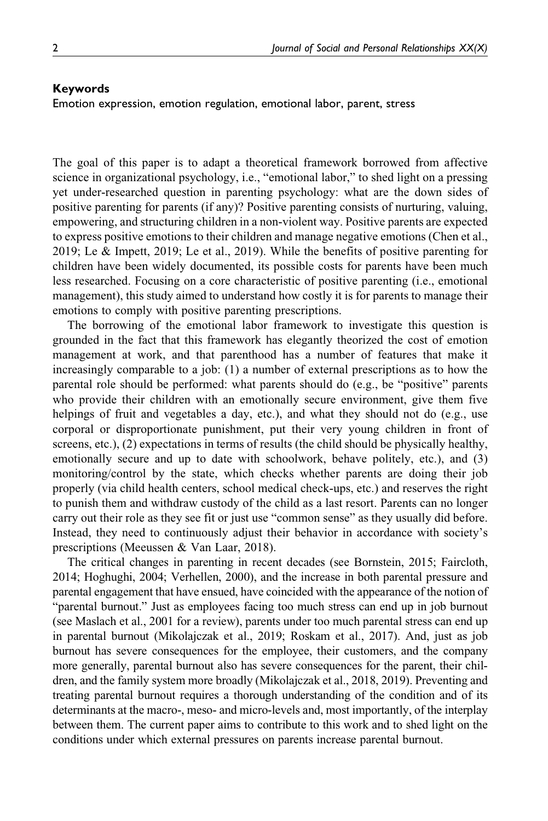#### **Keywords**

Emotion expression, emotion regulation, emotional labor, parent, stress

The goal of this paper is to adapt a theoretical framework borrowed from affective science in organizational psychology, i.e., "emotional labor," to shed light on a pressing yet under-researched question in parenting psychology: what are the down sides of positive parenting for parents (if any)? Positive parenting consists of nurturing, valuing, empowering, and structuring children in a non-violent way. Positive parents are expected to express positive emotions to their children and manage negative emotions (Chen et al., 2019; Le & Impett, 2019; Le et al., 2019). While the benefits of positive parenting for children have been widely documented, its possible costs for parents have been much less researched. Focusing on a core characteristic of positive parenting (i.e., emotional management), this study aimed to understand how costly it is for parents to manage their emotions to comply with positive parenting prescriptions.

The borrowing of the emotional labor framework to investigate this question is grounded in the fact that this framework has elegantly theorized the cost of emotion management at work, and that parenthood has a number of features that make it increasingly comparable to a job: (1) a number of external prescriptions as to how the parental role should be performed: what parents should do (e.g., be "positive" parents who provide their children with an emotionally secure environment, give them five helpings of fruit and vegetables a day, etc.), and what they should not do (e.g., use corporal or disproportionate punishment, put their very young children in front of screens, etc.), (2) expectations in terms of results (the child should be physically healthy, emotionally secure and up to date with schoolwork, behave politely, etc.), and (3) monitoring/control by the state, which checks whether parents are doing their job properly (via child health centers, school medical check-ups, etc.) and reserves the right to punish them and withdraw custody of the child as a last resort. Parents can no longer carry out their role as they see fit or just use "common sense" as they usually did before. Instead, they need to continuously adjust their behavior in accordance with society's prescriptions (Meeussen & Van Laar, 2018).

The critical changes in parenting in recent decades (see Bornstein, 2015; Faircloth, 2014; Hoghughi, 2004; Verhellen, 2000), and the increase in both parental pressure and parental engagement that have ensued, have coincided with the appearance of the notion of "parental burnout." Just as employees facing too much stress can end up in job burnout (see Maslach et al., 2001 for a review), parents under too much parental stress can end up in parental burnout (Mikolajczak et al., 2019; Roskam et al., 2017). And, just as job burnout has severe consequences for the employee, their customers, and the company more generally, parental burnout also has severe consequences for the parent, their children, and the family system more broadly (Mikolajczak et al., 2018, 2019). Preventing and treating parental burnout requires a thorough understanding of the condition and of its determinants at the macro-, meso- and micro-levels and, most importantly, of the interplay between them. The current paper aims to contribute to this work and to shed light on the conditions under which external pressures on parents increase parental burnout.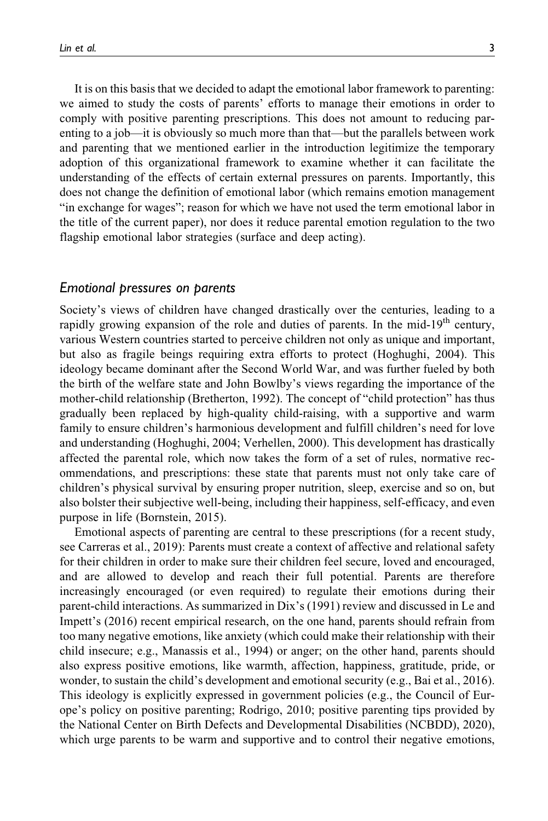It is on this basis that we decided to adapt the emotional labor framework to parenting: we aimed to study the costs of parents' efforts to manage their emotions in order to comply with positive parenting prescriptions. This does not amount to reducing parenting to a job—it is obviously so much more than that—but the parallels between work and parenting that we mentioned earlier in the introduction legitimize the temporary adoption of this organizational framework to examine whether it can facilitate the understanding of the effects of certain external pressures on parents. Importantly, this does not change the definition of emotional labor (which remains emotion management "in exchange for wages"; reason for which we have not used the term emotional labor in the title of the current paper), nor does it reduce parental emotion regulation to the two flagship emotional labor strategies (surface and deep acting).

#### *Emotional pressures on parents*

Society's views of children have changed drastically over the centuries, leading to a rapidly growing expansion of the role and duties of parents. In the mid-19<sup>th</sup> century, various Western countries started to perceive children not only as unique and important, but also as fragile beings requiring extra efforts to protect (Hoghughi, 2004). This ideology became dominant after the Second World War, and was further fueled by both the birth of the welfare state and John Bowlby's views regarding the importance of the mother-child relationship (Bretherton, 1992). The concept of "child protection" has thus gradually been replaced by high-quality child-raising, with a supportive and warm family to ensure children's harmonious development and fulfill children's need for love and understanding (Hoghughi, 2004; Verhellen, 2000). This development has drastically affected the parental role, which now takes the form of a set of rules, normative recommendations, and prescriptions: these state that parents must not only take care of children's physical survival by ensuring proper nutrition, sleep, exercise and so on, but also bolster their subjective well-being, including their happiness, self-efficacy, and even purpose in life (Bornstein, 2015).

Emotional aspects of parenting are central to these prescriptions (for a recent study, see Carreras et al., 2019): Parents must create a context of affective and relational safety for their children in order to make sure their children feel secure, loved and encouraged, and are allowed to develop and reach their full potential. Parents are therefore increasingly encouraged (or even required) to regulate their emotions during their parent-child interactions. As summarized in Dix's (1991) review and discussed in Le and Impett's (2016) recent empirical research, on the one hand, parents should refrain from too many negative emotions, like anxiety (which could make their relationship with their child insecure; e.g., Manassis et al., 1994) or anger; on the other hand, parents should also express positive emotions, like warmth, affection, happiness, gratitude, pride, or wonder, to sustain the child's development and emotional security (e.g., Bai et al., 2016). This ideology is explicitly expressed in government policies (e.g., the Council of Europe's policy on positive parenting; Rodrigo, 2010; positive parenting tips provided by the National Center on Birth Defects and Developmental Disabilities (NCBDD), 2020), which urge parents to be warm and supportive and to control their negative emotions,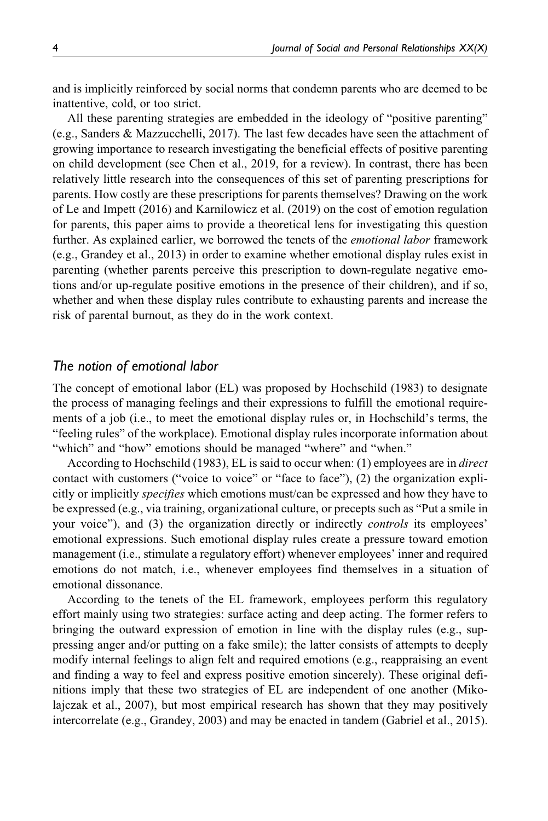and is implicitly reinforced by social norms that condemn parents who are deemed to be inattentive, cold, or too strict.

All these parenting strategies are embedded in the ideology of "positive parenting" (e.g., Sanders & Mazzucchelli, 2017). The last few decades have seen the attachment of growing importance to research investigating the beneficial effects of positive parenting on child development (see Chen et al., 2019, for a review). In contrast, there has been relatively little research into the consequences of this set of parenting prescriptions for parents. How costly are these prescriptions for parents themselves? Drawing on the work of Le and Impett (2016) and Karnilowicz et al. (2019) on the cost of emotion regulation for parents, this paper aims to provide a theoretical lens for investigating this question further. As explained earlier, we borrowed the tenets of the *emotional labor* framework (e.g., Grandey et al., 2013) in order to examine whether emotional display rules exist in parenting (whether parents perceive this prescription to down-regulate negative emotions and/or up-regulate positive emotions in the presence of their children), and if so, whether and when these display rules contribute to exhausting parents and increase the risk of parental burnout, as they do in the work context.

#### *The notion of emotional labor*

The concept of emotional labor (EL) was proposed by Hochschild (1983) to designate the process of managing feelings and their expressions to fulfill the emotional requirements of a job (i.e., to meet the emotional display rules or, in Hochschild's terms, the "feeling rules" of the workplace). Emotional display rules incorporate information about "which" and "how" emotions should be managed "where" and "when."

According to Hochschild (1983), EL is said to occur when: (1) employees are in *direct* contact with customers ("voice to voice" or "face to face"), (2) the organization explicitly or implicitly *specifies* which emotions must/can be expressed and how they have to be expressed (e.g., via training, organizational culture, or precepts such as "Put a smile in your voice"), and (3) the organization directly or indirectly *controls* its employees' emotional expressions. Such emotional display rules create a pressure toward emotion management (i.e., stimulate a regulatory effort) whenever employees' inner and required emotions do not match, i.e., whenever employees find themselves in a situation of emotional dissonance.

According to the tenets of the EL framework, employees perform this regulatory effort mainly using two strategies: surface acting and deep acting. The former refers to bringing the outward expression of emotion in line with the display rules (e.g., suppressing anger and/or putting on a fake smile); the latter consists of attempts to deeply modify internal feelings to align felt and required emotions (e.g., reappraising an event and finding a way to feel and express positive emotion sincerely). These original definitions imply that these two strategies of EL are independent of one another (Mikolajczak et al., 2007), but most empirical research has shown that they may positively intercorrelate (e.g., Grandey, 2003) and may be enacted in tandem (Gabriel et al., 2015).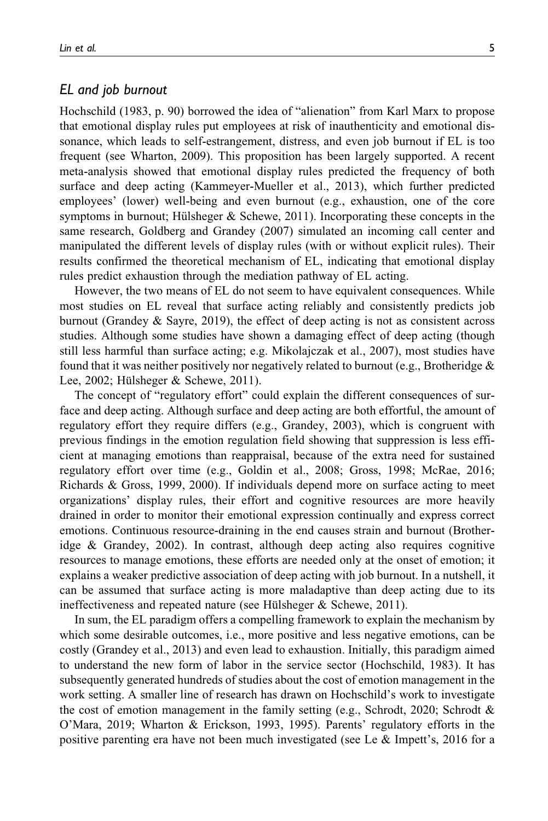#### *EL and job burnout*

Hochschild (1983, p. 90) borrowed the idea of "alienation" from Karl Marx to propose that emotional display rules put employees at risk of inauthenticity and emotional dissonance, which leads to self-estrangement, distress, and even job burnout if EL is too frequent (see Wharton, 2009). This proposition has been largely supported. A recent meta-analysis showed that emotional display rules predicted the frequency of both surface and deep acting (Kammeyer-Mueller et al., 2013), which further predicted employees' (lower) well-being and even burnout (e.g., exhaustion, one of the core symptoms in burnout; Hülsheger  $\&$  Schewe, 2011). Incorporating these concepts in the same research, Goldberg and Grandey (2007) simulated an incoming call center and manipulated the different levels of display rules (with or without explicit rules). Their results confirmed the theoretical mechanism of EL, indicating that emotional display rules predict exhaustion through the mediation pathway of EL acting.

However, the two means of EL do not seem to have equivalent consequences. While most studies on EL reveal that surface acting reliably and consistently predicts job burnout (Grandey & Sayre, 2019), the effect of deep acting is not as consistent across studies. Although some studies have shown a damaging effect of deep acting (though still less harmful than surface acting; e.g. Mikolajczak et al., 2007), most studies have found that it was neither positively nor negatively related to burnout (e.g., Brotheridge  $\&$ Lee, 2002; Hülsheger  $&$  Schewe, 2011).

The concept of "regulatory effort" could explain the different consequences of surface and deep acting. Although surface and deep acting are both effortful, the amount of regulatory effort they require differs (e.g., Grandey, 2003), which is congruent with previous findings in the emotion regulation field showing that suppression is less efficient at managing emotions than reappraisal, because of the extra need for sustained regulatory effort over time (e.g., Goldin et al., 2008; Gross, 1998; McRae, 2016; Richards & Gross, 1999, 2000). If individuals depend more on surface acting to meet organizations' display rules, their effort and cognitive resources are more heavily drained in order to monitor their emotional expression continually and express correct emotions. Continuous resource-draining in the end causes strain and burnout (Brotheridge & Grandey, 2002). In contrast, although deep acting also requires cognitive resources to manage emotions, these efforts are needed only at the onset of emotion; it explains a weaker predictive association of deep acting with job burnout. In a nutshell, it can be assumed that surface acting is more maladaptive than deep acting due to its ineffectiveness and repeated nature (see Hülsheger  $\&$  Schewe, 2011).

In sum, the EL paradigm offers a compelling framework to explain the mechanism by which some desirable outcomes, i.e., more positive and less negative emotions, can be costly (Grandey et al., 2013) and even lead to exhaustion. Initially, this paradigm aimed to understand the new form of labor in the service sector (Hochschild, 1983). It has subsequently generated hundreds of studies about the cost of emotion management in the work setting. A smaller line of research has drawn on Hochschild's work to investigate the cost of emotion management in the family setting (e.g., Schrodt, 2020; Schrodt & O'Mara, 2019; Wharton & Erickson, 1993, 1995). Parents' regulatory efforts in the positive parenting era have not been much investigated (see Le & Impett's, 2016 for a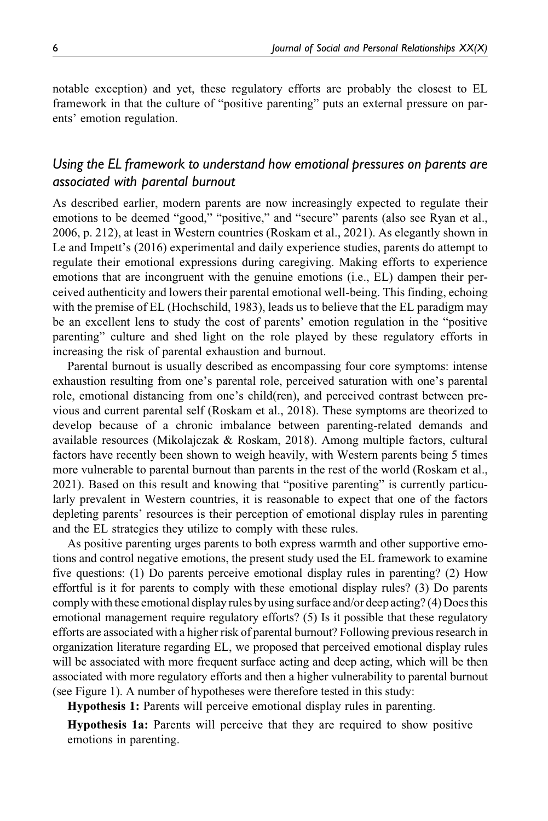notable exception) and yet, these regulatory efforts are probably the closest to EL framework in that the culture of "positive parenting" puts an external pressure on parents' emotion regulation.

## *Using the EL framework to understand how emotional pressures on parents are associated with parental burnout*

As described earlier, modern parents are now increasingly expected to regulate their emotions to be deemed "good," "positive," and "secure" parents (also see Ryan et al., 2006, p. 212), at least in Western countries (Roskam et al., 2021). As elegantly shown in Le and Impett's (2016) experimental and daily experience studies, parents do attempt to regulate their emotional expressions during caregiving. Making efforts to experience emotions that are incongruent with the genuine emotions (i.e., EL) dampen their perceived authenticity and lowers their parental emotional well-being. This finding, echoing with the premise of EL (Hochschild, 1983), leads us to believe that the EL paradigm may be an excellent lens to study the cost of parents' emotion regulation in the "positive parenting" culture and shed light on the role played by these regulatory efforts in increasing the risk of parental exhaustion and burnout.

Parental burnout is usually described as encompassing four core symptoms: intense exhaustion resulting from one's parental role, perceived saturation with one's parental role, emotional distancing from one's child(ren), and perceived contrast between previous and current parental self (Roskam et al., 2018). These symptoms are theorized to develop because of a chronic imbalance between parenting-related demands and available resources (Mikolajczak & Roskam, 2018). Among multiple factors, cultural factors have recently been shown to weigh heavily, with Western parents being 5 times more vulnerable to parental burnout than parents in the rest of the world (Roskam et al., 2021). Based on this result and knowing that "positive parenting" is currently particularly prevalent in Western countries, it is reasonable to expect that one of the factors depleting parents' resources is their perception of emotional display rules in parenting and the EL strategies they utilize to comply with these rules.

As positive parenting urges parents to both express warmth and other supportive emotions and control negative emotions, the present study used the EL framework to examine five questions: (1) Do parents perceive emotional display rules in parenting? (2) How effortful is it for parents to comply with these emotional display rules? (3) Do parents comply with these emotional display rules by using surface and/or deep acting? (4) Does this emotional management require regulatory efforts? (5) Is it possible that these regulatory efforts are associated with a higher risk of parental burnout? Following previous research in organization literature regarding EL, we proposed that perceived emotional display rules will be associated with more frequent surface acting and deep acting, which will be then associated with more regulatory efforts and then a higher vulnerability to parental burnout (see Figure 1). A number of hypotheses were therefore tested in this study:

Hypothesis 1: Parents will perceive emotional display rules in parenting.

Hypothesis 1a: Parents will perceive that they are required to show positive emotions in parenting.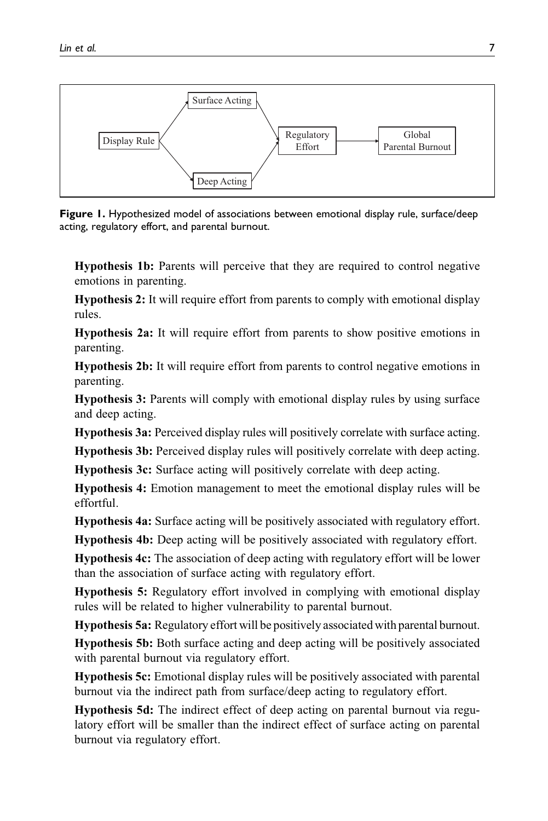

**Figure 1.** Hypothesized model of associations between emotional display rule, surface/deep acting, regulatory effort, and parental burnout.

Hypothesis 1b: Parents will perceive that they are required to control negative emotions in parenting.

Hypothesis 2: It will require effort from parents to comply with emotional display rules.

Hypothesis 2a: It will require effort from parents to show positive emotions in parenting.

Hypothesis 2b: It will require effort from parents to control negative emotions in parenting.

Hypothesis 3: Parents will comply with emotional display rules by using surface and deep acting.

Hypothesis 3a: Perceived display rules will positively correlate with surface acting.

Hypothesis 3b: Perceived display rules will positively correlate with deep acting.

Hypothesis 3c: Surface acting will positively correlate with deep acting.

Hypothesis 4: Emotion management to meet the emotional display rules will be effortful.

Hypothesis 4a: Surface acting will be positively associated with regulatory effort.

Hypothesis 4b: Deep acting will be positively associated with regulatory effort.

Hypothesis 4c: The association of deep acting with regulatory effort will be lower than the association of surface acting with regulatory effort.

Hypothesis 5: Regulatory effort involved in complying with emotional display rules will be related to higher vulnerability to parental burnout.

Hypothesis 5a: Regulatory effort will be positively associated with parental burnout.

Hypothesis 5b: Both surface acting and deep acting will be positively associated with parental burnout via regulatory effort.

Hypothesis 5c: Emotional display rules will be positively associated with parental burnout via the indirect path from surface/deep acting to regulatory effort.

Hypothesis 5d: The indirect effect of deep acting on parental burnout via regulatory effort will be smaller than the indirect effect of surface acting on parental burnout via regulatory effort.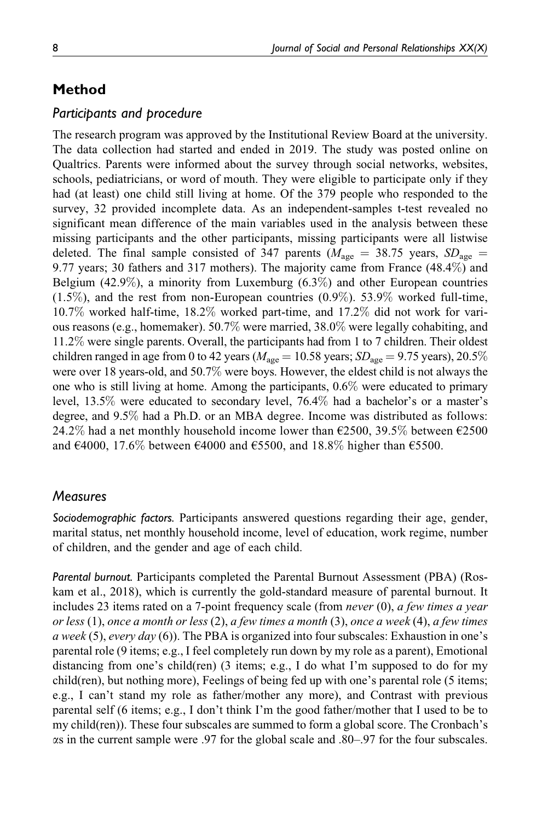## **Method**

## *Participants and procedure*

The research program was approved by the Institutional Review Board at the university. The data collection had started and ended in 2019. The study was posted online on Qualtrics. Parents were informed about the survey through social networks, websites, schools, pediatricians, or word of mouth. They were eligible to participate only if they had (at least) one child still living at home. Of the 379 people who responded to the survey, 32 provided incomplete data. As an independent-samples t-test revealed no significant mean difference of the main variables used in the analysis between these missing participants and the other participants, missing participants were all listwise deleted. The final sample consisted of 347 parents ( $M_{\text{age}} = 38.75$  years,  $SD_{\text{age}} =$ 9.77 years; 30 fathers and 317 mothers). The majority came from France (48.4%) and Belgium  $(42.9\%)$ , a minority from Luxemburg  $(6.3\%)$  and other European countries  $(1.5\%)$ , and the rest from non-European countries  $(0.9\%)$ . 53.9% worked full-time, 10.7% worked half-time, 18.2% worked part-time, and 17.2% did not work for various reasons (e.g., homemaker). 50.7% were married, 38.0% were legally cohabiting, and 11.2% were single parents. Overall, the participants had from 1 to 7 children. Their oldest children ranged in age from 0 to 42 years ( $M_{\text{age}} = 10.58$  years;  $SD_{\text{age}} = 9.75$  years), 20.5% were over 18 years-old, and 50.7% were boys. However, the eldest child is not always the one who is still living at home. Among the participants, 0.6% were educated to primary level, 13.5% were educated to secondary level, 76.4% had a bachelor's or a master's degree, and 9.5% had a Ph.D. or an MBA degree. Income was distributed as follows: 24.2% had a net monthly household income lower than  $\epsilon$ 2500, 39.5% between  $\epsilon$ 2500 and  $\epsilon$ 4000, 17.6% between  $\epsilon$ 4000 and  $\epsilon$ 5500, and 18.8% higher than  $\epsilon$ 5500.

## *Measures*

*Sociodemographic factors.* Participants answered questions regarding their age, gender, marital status, net monthly household income, level of education, work regime, number of children, and the gender and age of each child.

*Parental burnout.* Participants completed the Parental Burnout Assessment (PBA) (Roskam et al., 2018), which is currently the gold-standard measure of parental burnout. It includes 23 items rated on a 7-point frequency scale (from *never*  $(0)$ , *a few times a year* or less (1), once a month or less (2), a few times a month (3), once a week (4), a few times a week (5), every day (6)). The PBA is organized into four subscales: Exhaustion in one's parental role (9 items; e.g., I feel completely run down by my role as a parent), Emotional distancing from one's child(ren) (3 items; e.g., I do what I'm supposed to do for my child(ren), but nothing more), Feelings of being fed up with one's parental role (5 items; e.g., I can't stand my role as father/mother any more), and Contrast with previous parental self (6 items; e.g., I don't think I'm the good father/mother that I used to be to my child(ren)). These four subscales are summed to form a global score. The Cronbach's as in the current sample were .97 for the global scale and .80–.97 for the four subscales.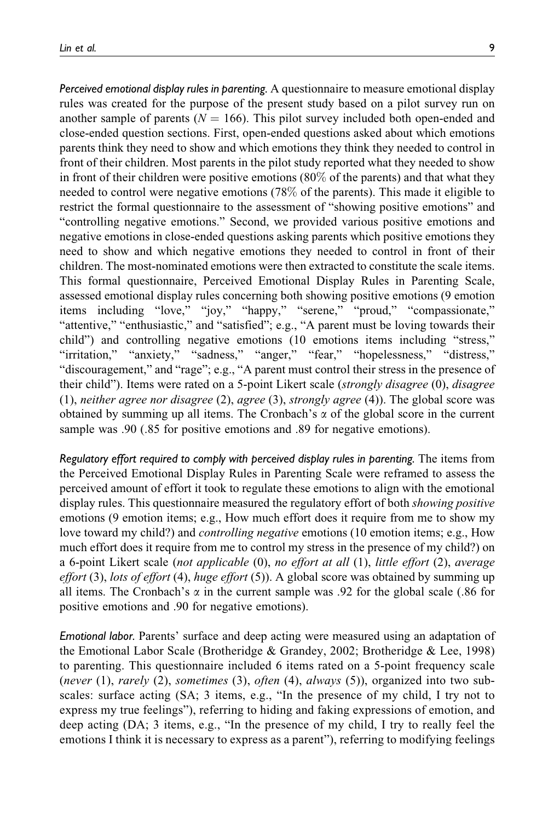*Perceived emotional display rules in parenting.* A questionnaire to measure emotional display rules was created for the purpose of the present study based on a pilot survey run on another sample of parents ( $N = 166$ ). This pilot survey included both open-ended and close-ended question sections. First, open-ended questions asked about which emotions parents think they need to show and which emotions they think they needed to control in front of their children. Most parents in the pilot study reported what they needed to show in front of their children were positive emotions  $(80\%$  of the parents) and that what they needed to control were negative emotions (78% of the parents). This made it eligible to restrict the formal questionnaire to the assessment of "showing positive emotions" and "controlling negative emotions." Second, we provided various positive emotions and negative emotions in close-ended questions asking parents which positive emotions they need to show and which negative emotions they needed to control in front of their children. The most-nominated emotions were then extracted to constitute the scale items. This formal questionnaire, Perceived Emotional Display Rules in Parenting Scale, assessed emotional display rules concerning both showing positive emotions (9 emotion items including "love," "joy," "happy," "serene," "proud," "compassionate," "attentive," "enthusiastic," and "satisfied"; e.g., "A parent must be loving towards their child") and controlling negative emotions (10 emotions items including "stress," "irritation," "anxiety," "sadness," "anger," "fear," "hopelessness," "distress," "discouragement," and "rage"; e.g., "A parent must control their stress in the presence of their child"). Items were rated on a 5-point Likert scale (*strongly disagree* (0), *disagree*  $(1)$ , neither agree nor disagree  $(2)$ , agree  $(3)$ , strongly agree  $(4)$ ). The global score was obtained by summing up all items. The Cronbach's  $\alpha$  of the global score in the current sample was .90 (.85 for positive emotions and .89 for negative emotions).

*Regulatory effort required to comply with perceived display rules in parenting.* The items from the Perceived Emotional Display Rules in Parenting Scale were reframed to assess the perceived amount of effort it took to regulate these emotions to align with the emotional display rules. This questionnaire measured the regulatory effort of both *showing positive* emotions (9 emotion items; e.g., How much effort does it require from me to show my love toward my child?) and controlling negative emotions (10 emotion items; e.g., How much effort does it require from me to control my stress in the presence of my child?) on a 6-point Likert scale (not applicable  $(0)$ , no effort at all  $(1)$ , little effort  $(2)$ , average effort (3), lots of effort (4), huge effort (5)). A global score was obtained by summing up all items. The Cronbach's  $\alpha$  in the current sample was .92 for the global scale (.86 for positive emotions and .90 for negative emotions).

*Emotional labor.* Parents' surface and deep acting were measured using an adaptation of the Emotional Labor Scale (Brotheridge & Grandey, 2002; Brotheridge & Lee, 1998) to parenting. This questionnaire included 6 items rated on a 5-point frequency scale (never  $(1)$ , rarely  $(2)$ , sometimes  $(3)$ , often  $(4)$ , always  $(5)$ ), organized into two subscales: surface acting (SA; 3 items, e.g., "In the presence of my child, I try not to express my true feelings"), referring to hiding and faking expressions of emotion, and deep acting (DA; 3 items, e.g., "In the presence of my child, I try to really feel the emotions I think it is necessary to express as a parent"), referring to modifying feelings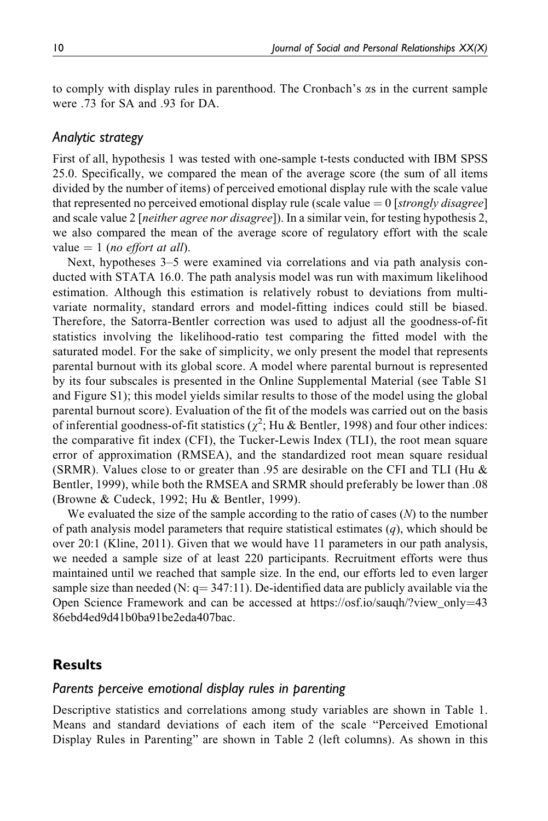to comply with display rules in parenthood. The Cronbach's as in the current sample were .73 for SA and .93 for DA.

## *Analytic strategy*

First of all, hypothesis 1 was tested with one-sample t-tests conducted with IBM SPSS 25.0. Specifically, we compared the mean of the average score (the sum of all items divided by the number of items) of perceived emotional display rule with the scale value that represented no perceived emotional display rule (scale value  $= 0$  [strongly disagree] and scale value 2 [*neither agree nor disagree*]). In a similar vein, for testing hypothesis 2, we also compared the mean of the average score of regulatory effort with the scale value  $= 1$  (no effort at all).

Next, hypotheses 3–5 were examined via correlations and via path analysis conducted with STATA 16.0. The path analysis model was run with maximum likelihood estimation. Although this estimation is relatively robust to deviations from multivariate normality, standard errors and model-fitting indices could still be biased. Therefore, the Satorra-Bentler correction was used to adjust all the goodness-of-fit statistics involving the likelihood-ratio test comparing the fitted model with the saturated model. For the sake of simplicity, we only present the model that represents parental burnout with its global score. A model where parental burnout is represented by its four subscales is presented in the Online Supplemental Material (see Table S1 and Figure S1); this model yields similar results to those of the model using the global parental burnout score). Evaluation of the fit of the models was carried out on the basis of inferential goodness-of-fit statistics ( $\chi^2$ ; Hu & Bentler, 1998) and four other indices: the comparative fit index (CFI), the Tucker-Lewis Index (TLI), the root mean square error of approximation (RMSEA), and the standardized root mean square residual (SRMR). Values close to or greater than .95 are desirable on the CFI and TLI (Hu  $\&$ Bentler, 1999), while both the RMSEA and SRMR should preferably be lower than .08 (Browne & Cudeck, 1992; Hu & Bentler, 1999).

We evaluated the size of the sample according to the ratio of cases  $(N)$  to the number of path analysis model parameters that require statistical estimates  $(q)$ , which should be over 20:1 (Kline, 2011). Given that we would have 11 parameters in our path analysis, we needed a sample size of at least 220 participants. Recruitment efforts were thus maintained until we reached that sample size. In the end, our efforts led to even larger sample size than needed (N:  $q = 347:11$ ). De-identified data are publicly available via the Open Science Framework and can be accessed at https://osf.io/saugh/?view\_only=[43](https://osf.io/sauqh/?view_only=4386ebd4ed9d41b0ba91be2eda407bac) [86ebd4ed9d41b0ba91be2eda407bac.](https://osf.io/sauqh/?view_only=4386ebd4ed9d41b0ba91be2eda407bac)

## **Results**

#### *Parents perceive emotional display rules in parenting*

Descriptive statistics and correlations among study variables are shown in Table 1. Means and standard deviations of each item of the scale "Perceived Emotional Display Rules in Parenting" are shown in Table 2 (left columns). As shown in this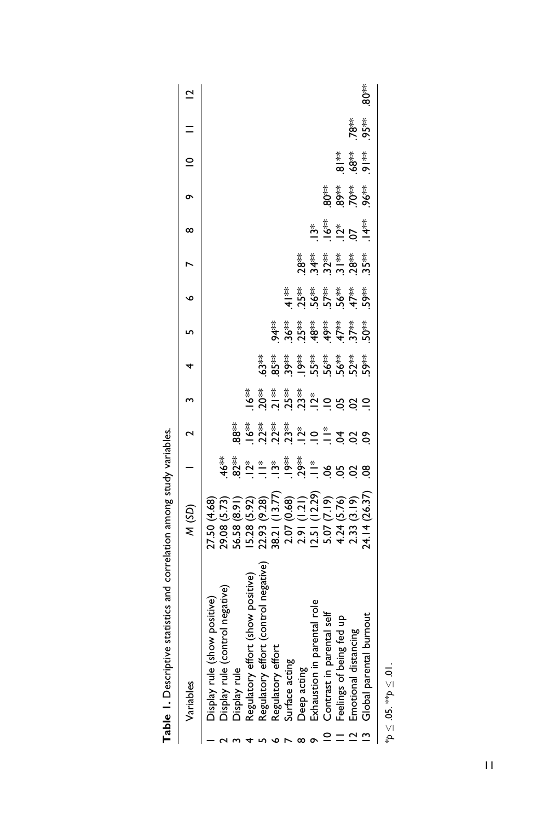| Variables                                                                        | (3D)                                                                                                                                                    |                                                                                                                                                                                                                                                                                                                                                                                                                                                                                         |                                 | $\frac{1}{2}$                                   |                                                          |                                                 |                                                        |                                                    | $^\infty$ | ቊ                 | $\supseteq$                                                                                                                                                                                                                                                                                                         |           | $\overline{C}$ |
|----------------------------------------------------------------------------------|---------------------------------------------------------------------------------------------------------------------------------------------------------|-----------------------------------------------------------------------------------------------------------------------------------------------------------------------------------------------------------------------------------------------------------------------------------------------------------------------------------------------------------------------------------------------------------------------------------------------------------------------------------------|---------------------------------|-------------------------------------------------|----------------------------------------------------------|-------------------------------------------------|--------------------------------------------------------|----------------------------------------------------|-----------|-------------------|---------------------------------------------------------------------------------------------------------------------------------------------------------------------------------------------------------------------------------------------------------------------------------------------------------------------|-----------|----------------|
| positive<br>Display rule (show                                                   |                                                                                                                                                         |                                                                                                                                                                                                                                                                                                                                                                                                                                                                                         |                                 |                                                 |                                                          |                                                 |                                                        |                                                    |           |                   |                                                                                                                                                                                                                                                                                                                     |           |                |
| ol negative)<br>Display rule (contr                                              |                                                                                                                                                         |                                                                                                                                                                                                                                                                                                                                                                                                                                                                                         |                                 |                                                 |                                                          |                                                 |                                                        |                                                    |           |                   |                                                                                                                                                                                                                                                                                                                     |           |                |
| Display rule                                                                     |                                                                                                                                                         |                                                                                                                                                                                                                                                                                                                                                                                                                                                                                         |                                 |                                                 |                                                          |                                                 |                                                        |                                                    |           |                   |                                                                                                                                                                                                                                                                                                                     |           |                |
| show positive)<br>Regulatory effort                                              |                                                                                                                                                         |                                                                                                                                                                                                                                                                                                                                                                                                                                                                                         |                                 |                                                 |                                                          |                                                 |                                                        |                                                    |           |                   |                                                                                                                                                                                                                                                                                                                     |           |                |
| negative<br>control<br>Regulatory effort                                         |                                                                                                                                                         |                                                                                                                                                                                                                                                                                                                                                                                                                                                                                         |                                 |                                                 |                                                          |                                                 |                                                        |                                                    |           |                   |                                                                                                                                                                                                                                                                                                                     |           |                |
| Regulatory effort                                                                |                                                                                                                                                         |                                                                                                                                                                                                                                                                                                                                                                                                                                                                                         |                                 |                                                 |                                                          |                                                 |                                                        |                                                    |           |                   |                                                                                                                                                                                                                                                                                                                     |           |                |
| Surface acting                                                                   |                                                                                                                                                         |                                                                                                                                                                                                                                                                                                                                                                                                                                                                                         |                                 |                                                 |                                                          |                                                 |                                                        |                                                    |           |                   |                                                                                                                                                                                                                                                                                                                     |           |                |
|                                                                                  |                                                                                                                                                         | $\stackrel{ \pi}{\Leftrightarrow} \stackrel{ \pi}{\Im} \stackrel{ \pi}{\Im} \stackrel{ \pi}{\Im} \stackrel{ \pi}{\Im} \stackrel{ \pi}{\Im} \stackrel{ \pi}{\Im} \stackrel{ \pi}{\Im} \stackrel{ \pi}{\Im} \stackrel{ \pi}{\Im} \stackrel{ \pi}{\Im} \stackrel{ \pi}{\Im} \stackrel{ \pi}{\Im} \stackrel{ \pi}{\Im} \stackrel{ \pi}{\Im} \stackrel{ \pi}{\Im} \stackrel{ \pi}{\Im} \stackrel{ \pi}{\Im} \stackrel{ \pi}{\Im} \stackrel{ \pi}{\Im} \stackrel{ \pi}{\Im} \stackrel{ \pi}{$ | ៖<br>៙៓ = ៷ ៷ ៷ ៷ ៎ = Ξ ₹ ¤ ¤ ° | រ្ម័ ៖ ៖ ៖ ៖ ៖<br>೨೦ ភី ភី ភី ភី ភី ÷ = ខ ខ ខ = | <b>* * * * * * * * *</b><br>\$ & \$ \$ \$ \$ \$ \$ \$ \$ | <b>* * * * * * * * *</b><br>* * * * * * * * * * | <b>= * * * * * * *</b><br>= 5 \$ 5 \$ \$ <del>\$</del> |                                                    |           |                   |                                                                                                                                                                                                                                                                                                                     |           |                |
| Deep acting<br>Exhaustion in parental role                                       |                                                                                                                                                         |                                                                                                                                                                                                                                                                                                                                                                                                                                                                                         |                                 |                                                 |                                                          |                                                 |                                                        |                                                    |           |                   |                                                                                                                                                                                                                                                                                                                     |           |                |
| Contrast in parental self                                                        |                                                                                                                                                         |                                                                                                                                                                                                                                                                                                                                                                                                                                                                                         |                                 |                                                 |                                                          |                                                 |                                                        |                                                    |           |                   |                                                                                                                                                                                                                                                                                                                     |           |                |
| -ontrasun pental<br>Feelings of being fed up<br><sup>E</sup> m∩rional distancing |                                                                                                                                                         |                                                                                                                                                                                                                                                                                                                                                                                                                                                                                         |                                 |                                                 |                                                          |                                                 |                                                        | ៖ ៖ ៖ ៖ ៖<br>8 <del>3</del> 5 5 8 5<br>2 5 5 7 8 5 | ڲ<br>ڲ؋ڲ؋ | ِ ≸ ≉ِ ≉<br>\$\$& |                                                                                                                                                                                                                                                                                                                     |           |                |
|                                                                                  |                                                                                                                                                         |                                                                                                                                                                                                                                                                                                                                                                                                                                                                                         |                                 |                                                 |                                                          |                                                 |                                                        |                                                    |           |                   | $\frac{1}{2}$ $\frac{1}{2}$ $\frac{1}{2}$ $\frac{1}{2}$ $\frac{1}{2}$ $\frac{1}{2}$ $\frac{1}{2}$ $\frac{1}{2}$ $\frac{1}{2}$ $\frac{1}{2}$ $\frac{1}{2}$ $\frac{1}{2}$ $\frac{1}{2}$ $\frac{1}{2}$ $\frac{1}{2}$ $\frac{1}{2}$ $\frac{1}{2}$ $\frac{1}{2}$ $\frac{1}{2}$ $\frac{1}{2}$ $\frac{1}{2}$ $\frac{1}{2}$ | **<br>95* |                |
| Global parental burnou                                                           | 27.50 (4.68)<br>29.08 (5.73)<br>29.08 (8.92)<br>56.58 (5.92) (13.77)<br>56.38 (13.77)<br>20.78 (12.29)<br>20.79 (12.29)<br>4.24 (26.37)<br>4.24 (26.37) |                                                                                                                                                                                                                                                                                                                                                                                                                                                                                         |                                 |                                                 |                                                          |                                                 |                                                        |                                                    |           |                   |                                                                                                                                                                                                                                                                                                                     |           | *<br>80        |
|                                                                                  |                                                                                                                                                         |                                                                                                                                                                                                                                                                                                                                                                                                                                                                                         |                                 |                                                 |                                                          |                                                 |                                                        |                                                    |           |                   |                                                                                                                                                                                                                                                                                                                     |           |                |

Table 1. Descriptive statistics and correlation among study variables. **Table 1.** Descriptive statistics and correlation among study variables.

\**p* - $\leq 0$ 5.  $\stackrel{\text{\tiny{def}}}{=}$  $\frac{1}{\sqrt{2}}$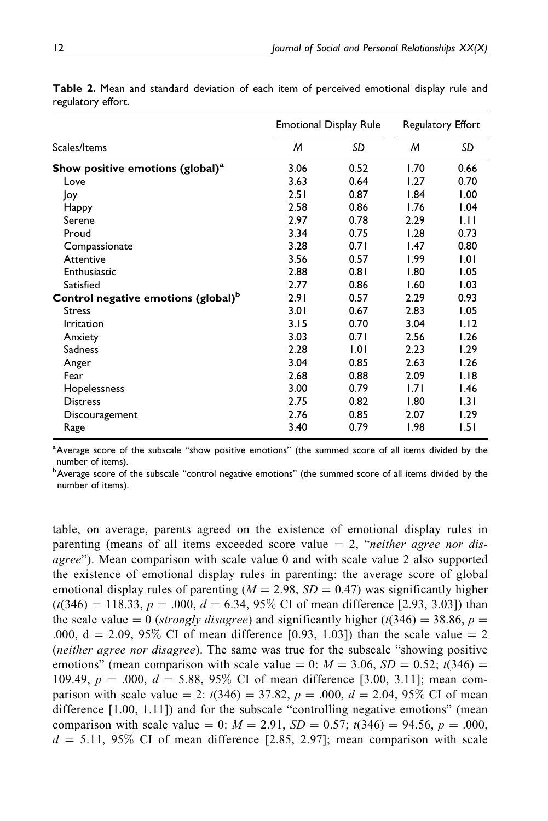|                                                 |      | <b>Emotional Display Rule</b> | Regulatory Effort |      |  |
|-------------------------------------------------|------|-------------------------------|-------------------|------|--|
| Scales/Items                                    | M    | SD                            | M                 | SD   |  |
| Show positive emotions (global) <sup>a</sup>    | 3.06 | 0.52                          | 1.70              | 0.66 |  |
| Love                                            | 3.63 | 0.64                          | 1.27              | 0.70 |  |
| Joy                                             | 2.51 | 0.87                          | 1.84              | 1.00 |  |
| Нарру                                           | 2.58 | 0.86                          | 1.76              | 1.04 |  |
| Serene                                          | 2.97 | 0.78                          | 2.29              | ЫI   |  |
| Proud                                           | 3.34 | 0.75                          | 1.28              | 0.73 |  |
| Compassionate                                   | 3.28 | 0.71                          | 1.47              | 0.80 |  |
| Attentive                                       | 3.56 | 0.57                          | 1.99              | 1.01 |  |
| Enthusiastic                                    | 2.88 | 0.81                          | 1.80              | 1.05 |  |
| Satisfied                                       | 2.77 | 0.86                          | 1.60              | 1.03 |  |
| Control negative emotions (global) <sup>b</sup> | 2.91 | 0.57                          | 2.29              | 0.93 |  |
| <b>Stress</b>                                   | 3.01 | 0.67                          | 2.83              | 1.05 |  |
| <b>Irritation</b>                               | 3.15 | 0.70                          | 3.04              | 1.12 |  |
| Anxiety                                         | 3.03 | 0.71                          | 2.56              | 1.26 |  |
| <b>Sadness</b>                                  | 2.28 | 1.01                          | 2.23              | 1.29 |  |
| Anger                                           | 3.04 | 0.85                          | 2.63              | 1.26 |  |
| Fear                                            | 2.68 | 0.88                          | 2.09              | 1.18 |  |
| Hopelessness                                    | 3.00 | 0.79                          | 1.71              | 1.46 |  |
| <b>Distress</b>                                 | 2.75 | 0.82                          | 1.80              | 1.31 |  |
| Discouragement                                  | 2.76 | 0.85                          | 2.07              | 1.29 |  |
| Rage                                            | 3.40 | 0.79                          | 1.98              | 1.51 |  |

**Table 2.** Mean and standard deviation of each item of perceived emotional display rule and regulatory effort.

<sup>a</sup> Average score of the subscale "show positive emotions" (the summed score of all items divided by the number of items).

 $^{\rm b}$ Average score of the subscale "control negative emotions" (the summed score of all items divided by the number of items).

table, on average, parents agreed on the existence of emotional display rules in parenting (means of all items exceeded score value  $= 2$ , "*neither agree nor dis*agree"). Mean comparison with scale value 0 and with scale value 2 also supported the existence of emotional display rules in parenting: the average score of global emotional display rules of parenting  $(M = 2.98, SD = 0.47)$  was significantly higher  $(t(346) = 118.33, p = .000, d = 6.34, 95\%$  CI of mean difference [2.93, 3.03]) than the scale value  $= 0$  (strongly disagree) and significantly higher (t(346)  $= 38.86$ , p  $=$ .000,  $d = 2.09, 95\%$  CI of mean difference [0.93, 1.03]) than the scale value  $= 2$ (*neither agree nor disagree*). The same was true for the subscale "showing positive" emotions" (mean comparison with scale value  $= 0: M = 3.06$ ,  $SD = 0.52$ ; t(346) = 109.49,  $p = .000$ ,  $d = 5.88$ , 95% CI of mean difference [3.00, 3.11]; mean comparison with scale value  $= 2$ :  $t(346) = 37.82$ ,  $p = .000$ ,  $d = 2.04$ , 95% CI of mean difference [1.00, 1.11]) and for the subscale "controlling negative emotions" (mean comparison with scale value  $= 0$ :  $M = 2.91$ ,  $SD = 0.57$ ;  $t(346) = 94.56$ ,  $p = .000$ ,  $d = 5.11, 95\%$  CI of mean difference [2.85, 2.97]; mean comparison with scale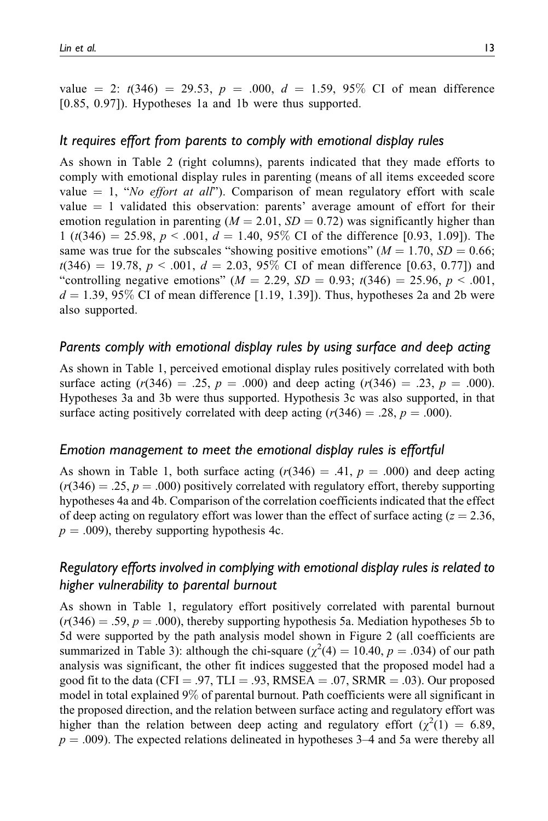value  $= 2$ :  $t(346) = 29.53$ ,  $p = .000$ ,  $d = 1.59$ ,  $95\%$  CI of mean difference [0.85, 0.97]). Hypotheses 1a and 1b were thus supported.

## *It requires effort from parents to comply with emotional display rules*

As shown in Table 2 (right columns), parents indicated that they made efforts to comply with emotional display rules in parenting (means of all items exceeded score value  $= 1$ , "No effort at all"). Comparison of mean regulatory effort with scale value  $= 1$  validated this observation: parents' average amount of effort for their emotion regulation in parenting ( $M = 2.01$ ,  $SD = 0.72$ ) was significantly higher than  $1 (t(346) = 25.98, p < .001, d = 1.40, 95\%$  CI of the difference [0.93, 1.09]). The same was true for the subscales "showing positive emotions" ( $M = 1.70$ ,  $SD = 0.66$ ;  $t(346) = 19.78, p < .001, d = 2.03, 95\%$  CI of mean difference [0.63, 0.77]) and "controlling negative emotions" ( $M = 2.29$ ,  $SD = 0.93$ ;  $t(346) = 25.96$ ,  $p < .001$ ,  $d = 1.39, 95\%$  CI of mean difference [1.19, 1.39]). Thus, hypotheses 2a and 2b were also supported.

## *Parents comply with emotional display rules by using surface and deep acting*

As shown in Table 1, perceived emotional display rules positively correlated with both surface acting  $(r(346) = .25, p = .000)$  and deep acting  $(r(346) = .23, p = .000)$ . Hypotheses 3a and 3b were thus supported. Hypothesis 3c was also supported, in that surface acting positively correlated with deep acting  $(r(346) = .28, p = .000)$ .

## *Emotion management to meet the emotional display rules is effortful*

As shown in Table 1, both surface acting  $(r(346) = .41, p = .000)$  and deep acting  $(r(346) = .25, p = .000)$  positively correlated with regulatory effort, thereby supporting hypotheses 4a and 4b. Comparison of the correlation coefficients indicated that the effect of deep acting on regulatory effort was lower than the effect of surface acting ( $z = 2.36$ ,  $p = .009$ , thereby supporting hypothesis 4c.

## *Regulatory efforts involved in complying with emotional display rules is related to higher vulnerability to parental burnout*

As shown in Table 1, regulatory effort positively correlated with parental burnout  $(r(346) = .59, p = .000)$ , thereby supporting hypothesis 5a. Mediation hypotheses 5b to 5d were supported by the path analysis model shown in Figure 2 (all coefficients are summarized in Table 3): although the chi-square ( $\chi^2(4) = 10.40, p = .034$ ) of our path analysis was significant, the other fit indices suggested that the proposed model had a good fit to the data (CFI = .97, TLI = .93, RMSEA = .07, SRMR = .03). Our proposed model in total explained 9% of parental burnout. Path coefficients were all significant in the proposed direction, and the relation between surface acting and regulatory effort was higher than the relation between deep acting and regulatory effort  $(\chi^2(1) = 6.89,$  $p = .009$ ). The expected relations delineated in hypotheses 3–4 and 5a were thereby all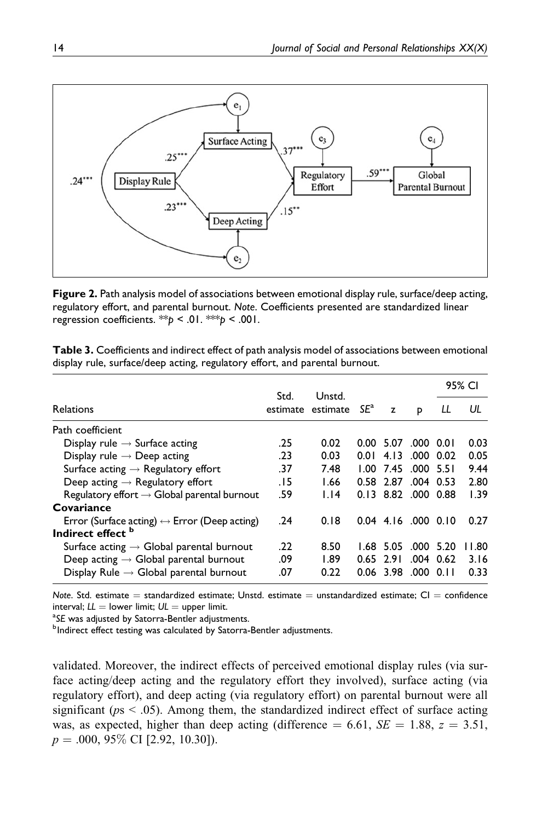

**Figure 2.** Path analysis model of associations between emotional display rule, surface/deep acting, regulatory effort, and parental burnout. *Note*. Coefficients presented are standardized linear regression coefficients. \*\**p* < .01. \*\*\**p* < .001.

|  | Table 3. Coefficients and indirect effect of path analysis model of associations between emotional |  |  |
|--|----------------------------------------------------------------------------------------------------|--|--|
|  | display rule, surface/deep acting, regulatory effort, and parental burnout.                        |  |  |

|                                                              |      | Unstd.                   |      |           |                       |             | 95% CI |
|--------------------------------------------------------------|------|--------------------------|------|-----------|-----------------------|-------------|--------|
| <b>Relations</b>                                             | Std. | estimate estimate $SE^a$ |      | z         | P                     | LL          | UL     |
| Path coefficient                                             |      |                          |      |           |                       |             |        |
| Display rule $\rightarrow$ Surface acting                    | .25  | 0.02                     |      | 0.00 5.07 | .000 0.01             |             | 0.03   |
| Display rule $\rightarrow$ Deep acting                       | .23  | 0.03                     | 0.01 | 4.13      | .000 0.02             |             | 0.05   |
| Surface acting $\rightarrow$ Regulatory effort               | .37  | 7.48                     |      |           | 1.00 7.45 000 5.51    |             | 9.44   |
| Deep acting $\rightarrow$ Regulatory effort                  | . 15 | 1.66                     |      | 0.58 2.87 |                       | $.004$ 0.53 | 2.80   |
| Regulatory effort $\rightarrow$ Global parental burnout      | .59  | 1.14                     |      |           | 0.13 8.82 .000 0.88   |             | 1.39   |
| Covariance                                                   |      |                          |      |           |                       |             |        |
| Error (Surface acting) $\leftrightarrow$ Error (Deep acting) | .24  | 0.18                     |      |           | $0.04$ 4.16 .000 0.10 |             | 0.27   |
| Indirect effect <sup>b</sup>                                 |      |                          |      |           |                       |             |        |
| Surface acting $\rightarrow$ Global parental burnout         | .22  | 8.50                     |      | 1.68 5.05 | $.000$ 5.20           |             | 11.80  |
| Deep acting $\rightarrow$ Global parental burnout            | .09  | 1.89                     | 0.65 | 2.91      |                       | $.004$ 0.62 | 3.16   |
| Display Rule $\rightarrow$ Global parental burnout           | .07  | 0.22                     |      | 0.06 3.98 | $.000$ 0.11           |             | 0.33   |

*Note*. Std. estimate = standardized estimate; Unstd. estimate = unstandardized estimate; CI = confidence  $interval; LL = lower limit; UL = upper limit.$ 

<sup>a</sup>SE was adjusted by Satorra-Bentler adjustments.

<sup>b</sup>Indirect effect testing was calculated by Satorra-Bentler adjustments.

validated. Moreover, the indirect effects of perceived emotional display rules (via surface acting/deep acting and the regulatory effort they involved), surface acting (via regulatory effort), and deep acting (via regulatory effort) on parental burnout were all significant ( $ps < .05$ ). Among them, the standardized indirect effect of surface acting was, as expected, higher than deep acting (difference  $= 6.61$ ,  $SE = 1.88$ ,  $z = 3.51$ ,  $p = .000, 95\% \text{ CI}$  [2.92, 10.30]).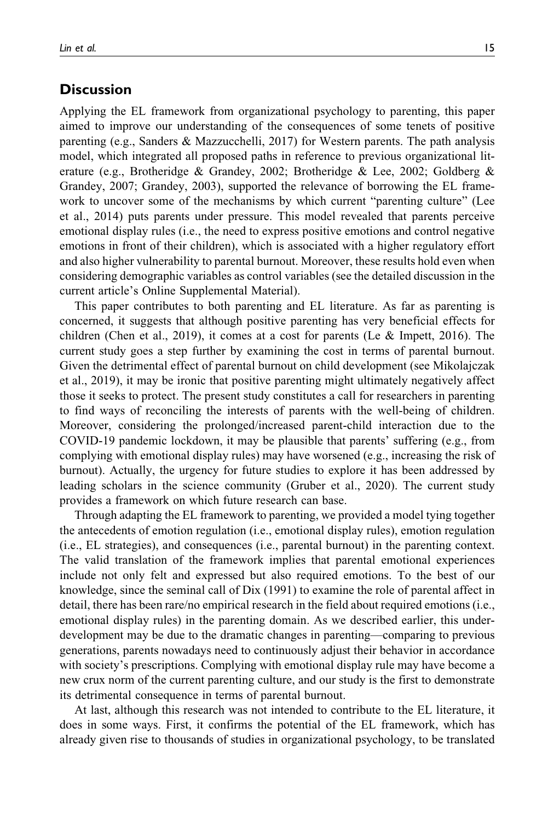## **Discussion**

Applying the EL framework from organizational psychology to parenting, this paper aimed to improve our understanding of the consequences of some tenets of positive parenting (e.g., Sanders & Mazzucchelli, 2017) for Western parents. The path analysis model, which integrated all proposed paths in reference to previous organizational literature (e.g., Brotheridge & Grandey, 2002; Brotheridge & Lee, 2002; Goldberg & Grandey, 2007; Grandey, 2003), supported the relevance of borrowing the EL framework to uncover some of the mechanisms by which current "parenting culture" (Lee et al., 2014) puts parents under pressure. This model revealed that parents perceive emotional display rules (i.e., the need to express positive emotions and control negative emotions in front of their children), which is associated with a higher regulatory effort and also higher vulnerability to parental burnout. Moreover, these results hold even when considering demographic variables as control variables (see the detailed discussion in the current article's Online Supplemental Material).

This paper contributes to both parenting and EL literature. As far as parenting is concerned, it suggests that although positive parenting has very beneficial effects for children (Chen et al., 2019), it comes at a cost for parents (Le & Impett, 2016). The current study goes a step further by examining the cost in terms of parental burnout. Given the detrimental effect of parental burnout on child development (see Mikolajczak et al., 2019), it may be ironic that positive parenting might ultimately negatively affect those it seeks to protect. The present study constitutes a call for researchers in parenting to find ways of reconciling the interests of parents with the well-being of children. Moreover, considering the prolonged/increased parent-child interaction due to the COVID-19 pandemic lockdown, it may be plausible that parents' suffering (e.g., from complying with emotional display rules) may have worsened (e.g., increasing the risk of burnout). Actually, the urgency for future studies to explore it has been addressed by leading scholars in the science community (Gruber et al., 2020). The current study provides a framework on which future research can base.

Through adapting the EL framework to parenting, we provided a model tying together the antecedents of emotion regulation (i.e., emotional display rules), emotion regulation (i.e., EL strategies), and consequences (i.e., parental burnout) in the parenting context. The valid translation of the framework implies that parental emotional experiences include not only felt and expressed but also required emotions. To the best of our knowledge, since the seminal call of Dix (1991) to examine the role of parental affect in detail, there has been rare/no empirical research in the field about required emotions (i.e., emotional display rules) in the parenting domain. As we described earlier, this underdevelopment may be due to the dramatic changes in parenting—comparing to previous generations, parents nowadays need to continuously adjust their behavior in accordance with society's prescriptions. Complying with emotional display rule may have become a new crux norm of the current parenting culture, and our study is the first to demonstrate its detrimental consequence in terms of parental burnout.

At last, although this research was not intended to contribute to the EL literature, it does in some ways. First, it confirms the potential of the EL framework, which has already given rise to thousands of studies in organizational psychology, to be translated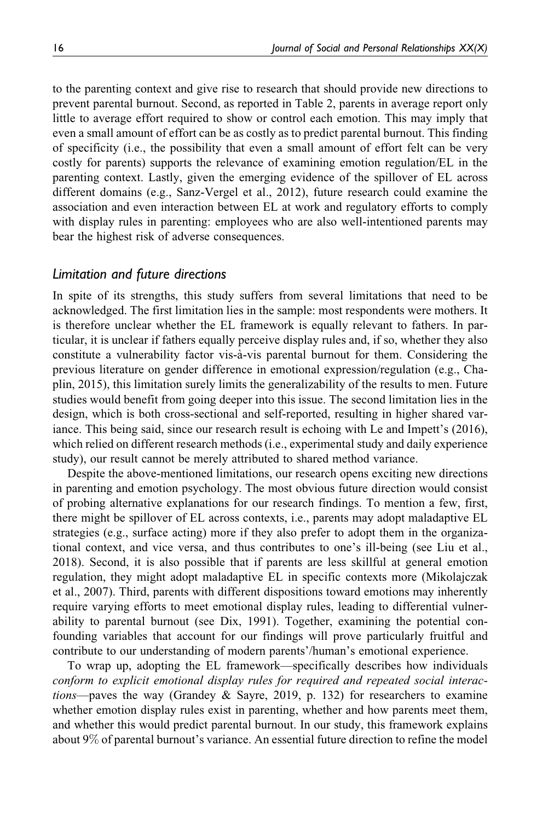to the parenting context and give rise to research that should provide new directions to prevent parental burnout. Second, as reported in Table 2, parents in average report only little to average effort required to show or control each emotion. This may imply that even a small amount of effort can be as costly as to predict parental burnout. This finding of specificity (i.e., the possibility that even a small amount of effort felt can be very costly for parents) supports the relevance of examining emotion regulation/EL in the parenting context. Lastly, given the emerging evidence of the spillover of EL across different domains (e.g., Sanz-Vergel et al., 2012), future research could examine the association and even interaction between EL at work and regulatory efforts to comply with display rules in parenting: employees who are also well-intentioned parents may bear the highest risk of adverse consequences.

#### *Limitation and future directions*

In spite of its strengths, this study suffers from several limitations that need to be acknowledged. The first limitation lies in the sample: most respondents were mothers. It is therefore unclear whether the EL framework is equally relevant to fathers. In particular, it is unclear if fathers equally perceive display rules and, if so, whether they also constitute a vulnerability factor vis-à-vis parental burnout for them. Considering the previous literature on gender difference in emotional expression/regulation (e.g., Chaplin, 2015), this limitation surely limits the generalizability of the results to men. Future studies would benefit from going deeper into this issue. The second limitation lies in the design, which is both cross-sectional and self-reported, resulting in higher shared variance. This being said, since our research result is echoing with Le and Impett's (2016), which relied on different research methods (i.e., experimental study and daily experience study), our result cannot be merely attributed to shared method variance.

Despite the above-mentioned limitations, our research opens exciting new directions in parenting and emotion psychology. The most obvious future direction would consist of probing alternative explanations for our research findings. To mention a few, first, there might be spillover of EL across contexts, i.e., parents may adopt maladaptive EL strategies (e.g., surface acting) more if they also prefer to adopt them in the organizational context, and vice versa, and thus contributes to one's ill-being (see Liu et al., 2018). Second, it is also possible that if parents are less skillful at general emotion regulation, they might adopt maladaptive EL in specific contexts more (Mikolajczak et al., 2007). Third, parents with different dispositions toward emotions may inherently require varying efforts to meet emotional display rules, leading to differential vulnerability to parental burnout (see Dix, 1991). Together, examining the potential confounding variables that account for our findings will prove particularly fruitful and contribute to our understanding of modern parents'/human's emotional experience.

To wrap up, adopting the EL framework—specifically describes how individuals conform to explicit emotional display rules for required and repeated social interactions—paves the way (Grandey & Sayre, 2019, p. 132) for researchers to examine whether emotion display rules exist in parenting, whether and how parents meet them, and whether this would predict parental burnout. In our study, this framework explains about 9% of parental burnout's variance. An essential future direction to refine the model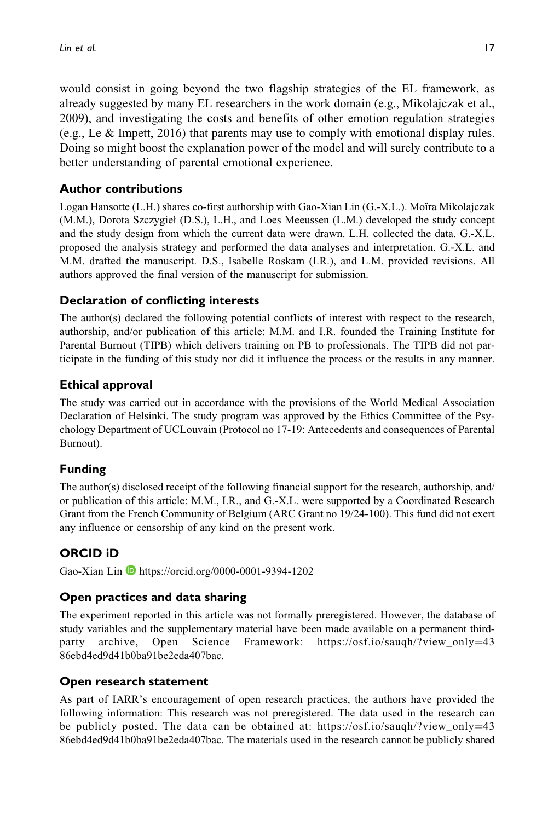would consist in going beyond the two flagship strategies of the EL framework, as already suggested by many EL researchers in the work domain (e.g., Mikolajczak et al., 2009), and investigating the costs and benefits of other emotion regulation strategies (e.g., Le & Impett, 2016) that parents may use to comply with emotional display rules. Doing so might boost the explanation power of the model and will surely contribute to a better understanding of parental emotional experience.

#### **Author contributions**

Logan Hansotte (L.H.) shares co-first authorship with Gao-Xian Lin (G.-X.L.). Moïra Mikolajczak (M.M.), Dorota Szczygieł (D.S.), L.H., and Loes Meeussen (L.M.) developed the study concept and the study design from which the current data were drawn. L.H. collected the data. G.-X.L. proposed the analysis strategy and performed the data analyses and interpretation. G.-X.L. and M.M. drafted the manuscript. D.S., Isabelle Roskam (I.R.), and L.M. provided revisions. All authors approved the final version of the manuscript for submission.

## **Declaration of conflicting interests**

The author(s) declared the following potential conflicts of interest with respect to the research, authorship, and/or publication of this article: M.M. and I.R. founded the Training Institute for Parental Burnout (TIPB) which delivers training on PB to professionals. The TIPB did not participate in the funding of this study nor did it influence the process or the results in any manner.

## **Ethical approval**

The study was carried out in accordance with the provisions of the World Medical Association Declaration of Helsinki. The study program was approved by the Ethics Committee of the Psychology Department of UCLouvain (Protocol no 17-19: Antecedents and consequences of Parental Burnout).

#### **Funding**

The author(s) disclosed receipt of the following financial support for the research, authorship, and/ or publication of this article: M.M., I.R., and G.-X.L. were supported by a Coordinated Research Grant from the French Community of Belgium (ARC Grant no 19/24-100). This fund did not exert any influence or censorship of any kind on the present work.

## **ORCID iD**

Gao-Xian Lin D <https://orcid.org/0000-0001-9394-1202>

#### **Open practices and data sharing**

The experiment reported in this article was not formally preregistered. However, the database of study variables and the supplementary material have been made available on a permanent third-party archive, Open Science Framework: https://osf.io/saugh/?view\_only=[43](https://osf.io/sauqh/?view_only=4386ebd4ed9d41b0ba91be2eda407bac) [86ebd4ed9d41b0ba91be2eda407bac.](https://osf.io/sauqh/?view_only=4386ebd4ed9d41b0ba91be2eda407bac)

#### **Open research statement**

As part of IARR's encouragement of open research practices, the authors have provided the following information: This research was not preregistered. The data used in the research can be publicly posted. The data can be obtained at: [https://osf.io/sauqh/?view\\_only](https://osf.io/sauqh/?view_only=4386ebd4ed9d41b0ba91be2eda407bac)=[43](https://osf.io/sauqh/?view_only=4386ebd4ed9d41b0ba91be2eda407bac) [86ebd4ed9d41b0ba91be2eda407bac.](https://osf.io/sauqh/?view_only=4386ebd4ed9d41b0ba91be2eda407bac) The materials used in the research cannot be publicly shared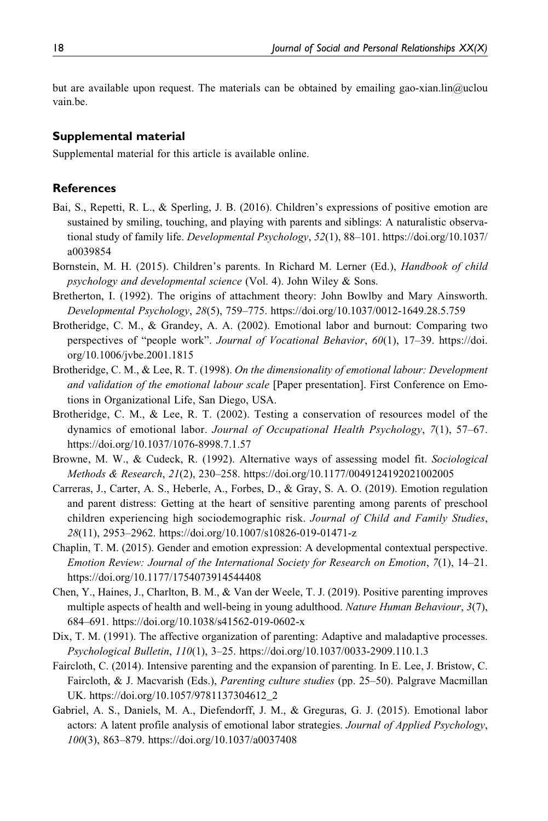but are available upon request. The materials can be obtained by emailing [gao-xian.lin@uclou](mailto:gao-xian.lin@uclouvain.be) [vain.be.](mailto:gao-xian.lin@uclouvain.be)

#### **Supplemental material**

Supplemental material for this article is available online.

#### **References**

- Bai, S., Repetti, R. L., & Sperling, J. B. (2016). Children's expressions of positive emotion are sustained by smiling, touching, and playing with parents and siblings: A naturalistic observational study of family life. Developmental Psychology, 52(1), 88–101. [https://doi.org/10.1037/](https://doi.org/10.1037/a0039854) [a0039854](https://doi.org/10.1037/a0039854)
- Bornstein, M. H. (2015). Children's parents. In Richard M. Lerner (Ed.), *Handbook of child* psychology and developmental science (Vol. 4). John Wiley & Sons.
- Bretherton, I. (1992). The origins of attachment theory: John Bowlby and Mary Ainsworth. Developmental Psychology, 28(5), 759–775.<https://doi.org/10.1037/0012-1649.28.5.759>
- Brotheridge, C. M., & Grandey, A. A. (2002). Emotional labor and burnout: Comparing two perspectives of "people work". Journal of Vocational Behavior, 60(1), 17–39. [https://doi.](https://doi.org/10.1006/jvbe.2001.1815) [org/10.1006/jvbe.2001.1815](https://doi.org/10.1006/jvbe.2001.1815)
- Brotheridge, C. M., & Lee, R. T. (1998). On the dimensionality of emotional labour: Development and validation of the emotional labour scale [Paper presentation]. First Conference on Emotions in Organizational Life, San Diego, USA.
- Brotheridge, C. M., & Lee, R. T. (2002). Testing a conservation of resources model of the dynamics of emotional labor. Journal of Occupational Health Psychology, 7(1), 57-67. <https://doi.org/10.1037/1076-8998.7.1.57>
- Browne, M. W., & Cudeck, R. (1992). Alternative ways of assessing model fit. Sociological Methods & Research, 21(2), 230–258.<https://doi.org/10.1177/0049124192021002005>
- Carreras, J., Carter, A. S., Heberle, A., Forbes, D., & Gray, S. A. O. (2019). Emotion regulation and parent distress: Getting at the heart of sensitive parenting among parents of preschool children experiencing high sociodemographic risk. Journal of Child and Family Studies, 28(11), 2953–2962.<https://doi.org/10.1007/s10826-019-01471-z>
- Chaplin, T. M. (2015). Gender and emotion expression: A developmental contextual perspective. Emotion Review: Journal of the International Society for Research on Emotion, 7(1), 14–21. <https://doi.org/10.1177/1754073914544408>
- Chen, Y., Haines, J., Charlton, B. M., & Van der Weele, T. J. (2019). Positive parenting improves multiple aspects of health and well-being in young adulthood. Nature Human Behaviour,  $3(7)$ , 684–691.<https://doi.org/10.1038/s41562-019-0602-x>
- Dix, T. M. (1991). The affective organization of parenting: Adaptive and maladaptive processes. Psychological Bulletin, 110(1), 3–25.<https://doi.org/10.1037/0033-2909.110.1.3>
- Faircloth, C. (2014). Intensive parenting and the expansion of parenting. In E. Lee, J. Bristow, C. Faircloth, & J. Macvarish (Eds.), *Parenting culture studies* (pp. 25–50). Palgrave Macmillan UK. [https://doi.org/10.1057/9781137304612\\_2](https://doi.org/10.1057/9781137304612_2)
- Gabriel, A. S., Daniels, M. A., Diefendorff, J. M., & Greguras, G. J. (2015). Emotional labor actors: A latent profile analysis of emotional labor strategies. Journal of Applied Psychology, 100(3), 863–879.<https://doi.org/10.1037/a0037408>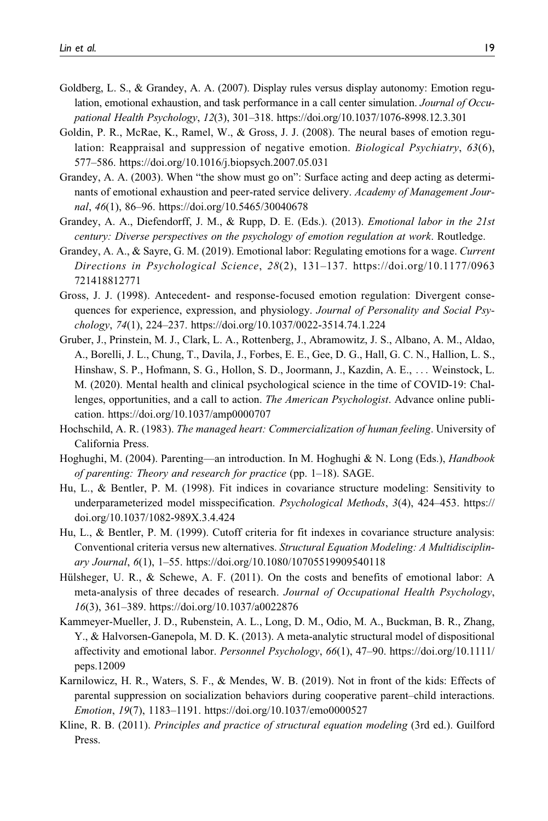- Goldberg, L. S., & Grandey, A. A. (2007). Display rules versus display autonomy: Emotion regulation, emotional exhaustion, and task performance in a call center simulation. Journal of Occupational Health Psychology, 12(3), 301–318.<https://doi.org/10.1037/1076-8998.12.3.301>
- Goldin, P. R., McRae, K., Ramel, W., & Gross, J. J. (2008). The neural bases of emotion regulation: Reappraisal and suppression of negative emotion. Biological Psychiatry, 63(6), 577–586.<https://doi.org/10.1016/j.biopsych.2007.05.031>
- Grandey, A. A. (2003). When "the show must go on": Surface acting and deep acting as determinants of emotional exhaustion and peer-rated service delivery. Academy of Management Journal, 46(1), 86–96.<https://doi.org/10.5465/30040678>
- Grandey, A. A., Diefendorff, J. M., & Rupp, D. E. (Eds.). (2013). *Emotional labor in the 21st* century: Diverse perspectives on the psychology of emotion regulation at work. Routledge.
- Grandey, A. A., & Sayre, G. M. (2019). Emotional labor: Regulating emotions for a wage. Current Directions in Psychological Science, 28(2), 131–137. [https://doi.org/10.1177/0963](https://doi.org/10.1177/0963721418812771) [721418812771](https://doi.org/10.1177/0963721418812771)
- Gross, J. J. (1998). Antecedent- and response-focused emotion regulation: Divergent consequences for experience, expression, and physiology. Journal of Personality and Social Psychology, 74(1), 224–237.<https://doi.org/10.1037/0022-3514.74.1.224>
- Gruber, J., Prinstein, M. J., Clark, L. A., Rottenberg, J., Abramowitz, J. S., Albano, A. M., Aldao, A., Borelli, J. L., Chung, T., Davila, J., Forbes, E. E., Gee, D. G., Hall, G. C. N., Hallion, L. S., Hinshaw, S. P., Hofmann, S. G., Hollon, S. D., Joormann, J., Kazdin, A. E., ... Weinstock, L. M. (2020). Mental health and clinical psychological science in the time of COVID-19: Challenges, opportunities, and a call to action. *The American Psychologist*. Advance online publication.<https://doi.org/10.1037/amp0000707>
- Hochschild, A. R. (1983). The managed heart: Commercialization of human feeling. University of California Press.
- Hoghughi, M. (2004). Parenting—an introduction. In M. Hoghughi & N. Long (Eds.), *Handbook* of parenting: Theory and research for practice (pp. 1–18). SAGE.
- Hu, L., & Bentler, P. M. (1998). Fit indices in covariance structure modeling: Sensitivity to underparameterized model misspecification. *Psychological Methods*, 3(4), 424–453. [https://](https://doi.org/10.1037/1082-989X.3.4.424) [doi.org/10.1037/1082-989X.3.4.424](https://doi.org/10.1037/1082-989X.3.4.424)
- Hu, L., & Bentler, P. M. (1999). Cutoff criteria for fit indexes in covariance structure analysis: Conventional criteria versus new alternatives. Structural Equation Modeling: A Multidisciplinary Journal, 6(1), 1–55.<https://doi.org/10.1080/10705519909540118>
- Hülsheger, U. R., & Schewe, A. F.  $(2011)$ . On the costs and benefits of emotional labor: A meta-analysis of three decades of research. Journal of Occupational Health Psychology, 16(3), 361–389.<https://doi.org/10.1037/a0022876>
- Kammeyer-Mueller, J. D., Rubenstein, A. L., Long, D. M., Odio, M. A., Buckman, B. R., Zhang, Y., & Halvorsen-Ganepola, M. D. K. (2013). A meta-analytic structural model of dispositional affectivity and emotional labor. Personnel Psychology, 66(1), 47–90. [https://doi.org/10.1111/](https://doi.org/10.1111/peps.12009) [peps.12009](https://doi.org/10.1111/peps.12009)
- Karnilowicz, H. R., Waters, S. F., & Mendes, W. B. (2019). Not in front of the kids: Effects of parental suppression on socialization behaviors during cooperative parent–child interactions. Emotion, 19(7), 1183–1191.<https://doi.org/10.1037/emo0000527>
- Kline, R. B. (2011). Principles and practice of structural equation modeling (3rd ed.). Guilford Press.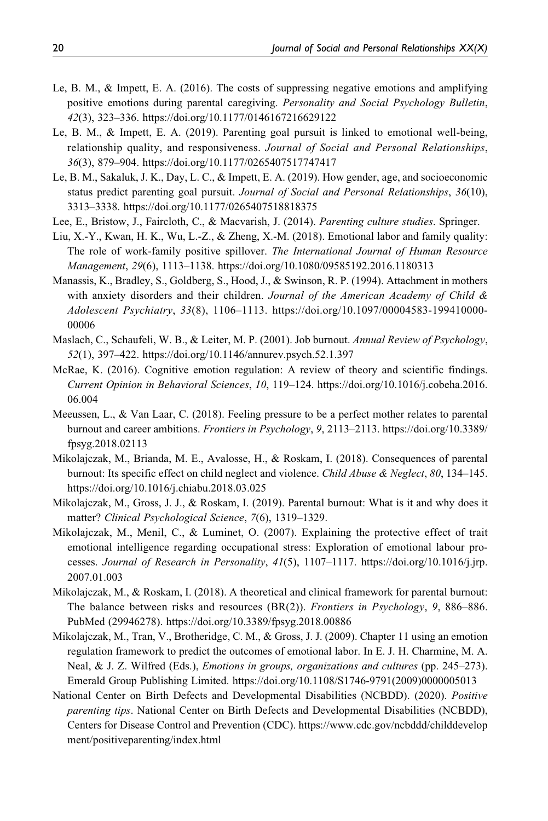- Le, B. M., & Impett, E. A. (2016). The costs of suppressing negative emotions and amplifying positive emotions during parental caregiving. Personality and Social Psychology Bulletin, 42(3), 323–336.<https://doi.org/10.1177/0146167216629122>
- Le, B. M., & Impett, E. A. (2019). Parenting goal pursuit is linked to emotional well-being, relationship quality, and responsiveness. Journal of Social and Personal Relationships, 36(3), 879–904.<https://doi.org/10.1177/0265407517747417>
- Le, B. M., Sakaluk, J. K., Day, L. C., & Impett, E. A. (2019). How gender, age, and socioeconomic status predict parenting goal pursuit. Journal of Social and Personal Relationships, 36(10), 3313–3338.<https://doi.org/10.1177/0265407518818375>
- Lee, E., Bristow, J., Faircloth, C., & Macvarish, J. (2014). Parenting culture studies. Springer.
- Liu, X.-Y., Kwan, H. K., Wu, L.-Z., & Zheng, X.-M. (2018). Emotional labor and family quality: The role of work-family positive spillover. The International Journal of Human Resource Management, 29(6), 1113–1138.<https://doi.org/10.1080/09585192.2016.1180313>
- Manassis, K., Bradley, S., Goldberg, S., Hood, J., & Swinson, R. P. (1994). Attachment in mothers with anxiety disorders and their children. Journal of the American Academy of Child & Adolescent Psychiatry, 33(8), 1106–1113. [https://doi.org/10.1097/00004583-199410000-](https://doi.org/10.1097/00004583-199410000-00006) [00006](https://doi.org/10.1097/00004583-199410000-00006)
- Maslach, C., Schaufeli, W. B., & Leiter, M. P. (2001). Job burnout. Annual Review of Psychology, 52(1), 397–422.<https://doi.org/10.1146/annurev.psych.52.1.397>
- McRae, K. (2016). Cognitive emotion regulation: A review of theory and scientific findings. Current Opinion in Behavioral Sciences, 10, 119–124. [https://doi.org/10.1016/j.cobeha.2016.](https://doi.org/10.1016/j.cobeha.2016.06.004) [06.004](https://doi.org/10.1016/j.cobeha.2016.06.004)
- Meeussen, L., & Van Laar, C. (2018). Feeling pressure to be a perfect mother relates to parental burnout and career ambitions. *Frontiers in Psychology*, 9, 2113–2113. [https://doi.org/10.3389/](https://doi.org/10.3389/fpsyg.2018.02113) [fpsyg.2018.02113](https://doi.org/10.3389/fpsyg.2018.02113)
- Mikolajczak, M., Brianda, M. E., Avalosse, H., & Roskam, I. (2018). Consequences of parental burnout: Its specific effect on child neglect and violence. Child Abuse & Neglect, 80, 134–145. <https://doi.org/10.1016/j.chiabu.2018.03.025>
- Mikolajczak, M., Gross, J. J., & Roskam, I. (2019). Parental burnout: What is it and why does it matter? Clinical Psychological Science, 7(6), 1319–1329.
- Mikolajczak, M., Menil, C., & Luminet, O. (2007). Explaining the protective effect of trait emotional intelligence regarding occupational stress: Exploration of emotional labour processes. Journal of Research in Personality, 41(5), 1107–1117. [https://doi.org/10.1016/j.jrp.](https://doi.org/10.1016/j.jrp.2007.01.003) [2007.01.003](https://doi.org/10.1016/j.jrp.2007.01.003)
- Mikolajczak, M., & Roskam, I. (2018). A theoretical and clinical framework for parental burnout: The balance between risks and resources (BR(2)). Frontiers in Psychology, 9, 886-886. PubMed (29946278).<https://doi.org/10.3389/fpsyg.2018.00886>
- Mikolajczak, M., Tran, V., Brotheridge, C. M., & Gross, J. J. (2009). Chapter 11 using an emotion regulation framework to predict the outcomes of emotional labor. In E. J. H. Charmine, M. A. Neal, & J. Z. Wilfred (Eds.), *Emotions in groups, organizations and cultures* (pp. 245–273). Emerald Group Publishing Limited. [https://doi.org/10.1108/S1746-9791\(2009\)0000005013](https://doi.org/10.1108/S1746-9791(2009)0000005013)
- National Center on Birth Defects and Developmental Disabilities (NCBDD). (2020). Positive parenting tips. National Center on Birth Defects and Developmental Disabilities (NCBDD), Centers for Disease Control and Prevention (CDC). [https://www.cdc.gov/ncbddd/childdevelop](https://www.cdc.gov/ncbddd/childdevelopment/positiveparenting/index.html) [ment/positiveparenting/index.html](https://www.cdc.gov/ncbddd/childdevelopment/positiveparenting/index.html)